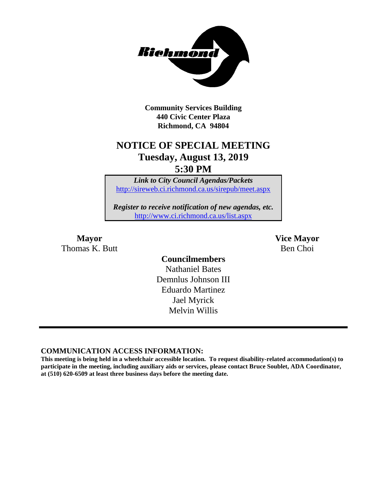

**Community Services Building 440 Civic Center Plaza Richmond, CA 94804**

## **NOTICE OF SPECIAL MEETING Tuesday, August 13, 2019 5:30 PM**

*Link to City Council Agendas/Packets* <http://sireweb.ci.richmond.ca.us/sirepub/meet.aspx>

*Register to receive notification of new agendas, etc.* <http://www.ci.richmond.ca.us/list.aspx>

Thomas K. Butt Ben Choi

**Mayor Vice Mayor**

**Councilmembers** Nathaniel Bates Demnlus Johnson III Eduardo Martinez Jael Myrick Melvin Willis

#### **COMMUNICATION ACCESS INFORMATION:**

**This meeting is being held in a wheelchair accessible location. To request disability-related accommodation(s) to participate in the meeting, including auxiliary aids or services, please contact Bruce Soublet, ADA Coordinator, at (510) 620-6509 at least three business days before the meeting date.**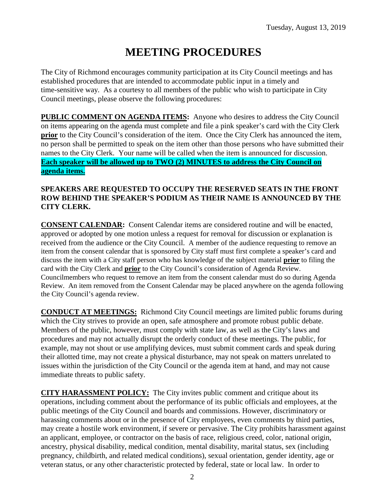# **MEETING PROCEDURES**

The City of Richmond encourages community participation at its City Council meetings and has established procedures that are intended to accommodate public input in a timely and time-sensitive way. As a courtesy to all members of the public who wish to participate in City Council meetings, please observe the following procedures:

**PUBLIC COMMENT ON AGENDA ITEMS:** Anyone who desires to address the City Council on items appearing on the agenda must complete and file a pink speaker's card with the City Clerk **prior** to the City Council's consideration of the item. Once the City Clerk has announced the item, no person shall be permitted to speak on the item other than those persons who have submitted their names to the City Clerk. Your name will be called when the item is announced for discussion. **Each speaker will be allowed up to TWO (2) MINUTES to address the City Council on agenda items.**

#### **SPEAKERS ARE REQUESTED TO OCCUPY THE RESERVED SEATS IN THE FRONT ROW BEHIND THE SPEAKER'S PODIUM AS THEIR NAME IS ANNOUNCED BY THE CITY CLERK.**

**CONSENT CALENDAR:** Consent Calendar items are considered routine and will be enacted, approved or adopted by one motion unless a request for removal for discussion or explanation is received from the audience or the City Council. A member of the audience requesting to remove an item from the consent calendar that is sponsored by City staff must first complete a speaker's card and discuss the item with a City staff person who has knowledge of the subject material **prior** to filing the card with the City Clerk and **prior** to the City Council's consideration of Agenda Review. Councilmembers who request to remove an item from the consent calendar must do so during Agenda Review. An item removed from the Consent Calendar may be placed anywhere on the agenda following the City Council's agenda review.

**CONDUCT AT MEETINGS:** Richmond City Council meetings are limited public forums during which the City strives to provide an open, safe atmosphere and promote robust public debate. Members of the public, however, must comply with state law, as well as the City's laws and procedures and may not actually disrupt the orderly conduct of these meetings. The public, for example, may not shout or use amplifying devices, must submit comment cards and speak during their allotted time, may not create a physical disturbance, may not speak on matters unrelated to issues within the jurisdiction of the City Council or the agenda item at hand, and may not cause immediate threats to public safety.

**CITY HARASSMENT POLICY:** The City invites public comment and critique about its operations, including comment about the performance of its public officials and employees, at the public meetings of the City Council and boards and commissions. However, discriminatory or harassing comments about or in the presence of City employees, even comments by third parties, may create a hostile work environment, if severe or pervasive. The City prohibits harassment against an applicant, employee, or contractor on the basis of race, religious creed, color, national origin, ancestry, physical disability, medical condition, mental disability, marital status, sex (including pregnancy, childbirth, and related medical conditions), sexual orientation, gender identity, age or veteran status, or any other characteristic protected by federal, state or local law. In order to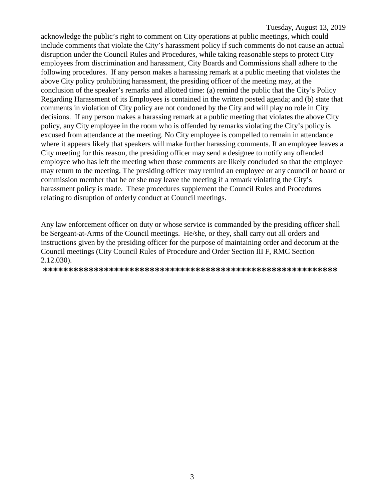acknowledge the public's right to comment on City operations at public meetings, which could include comments that violate the City's harassment policy if such comments do not cause an actual disruption under the Council Rules and Procedures, while taking reasonable steps to protect City employees from discrimination and harassment, City Boards and Commissions shall adhere to the following procedures. If any person makes a harassing remark at a public meeting that violates the above City policy prohibiting harassment, the presiding officer of the meeting may, at the conclusion of the speaker's remarks and allotted time: (a) remind the public that the City's Policy Regarding Harassment of its Employees is contained in the written posted agenda; and (b) state that comments in violation of City policy are not condoned by the City and will play no role in City decisions. If any person makes a harassing remark at a public meeting that violates the above City policy, any City employee in the room who is offended by remarks violating the City's policy is excused from attendance at the meeting. No City employee is compelled to remain in attendance where it appears likely that speakers will make further harassing comments. If an employee leaves a City meeting for this reason, the presiding officer may send a designee to notify any offended employee who has left the meeting when those comments are likely concluded so that the employee may return to the meeting. The presiding officer may remind an employee or any council or board or commission member that he or she may leave the meeting if a remark violating the City's harassment policy is made. These procedures supplement the Council Rules and Procedures relating to disruption of orderly conduct at Council meetings.

Any law enforcement officer on duty or whose service is commanded by the presiding officer shall be Sergeant-at-Arms of the Council meetings. He/she, or they, shall carry out all orders and instructions given by the presiding officer for the purpose of maintaining order and decorum at the Council meetings (City Council Rules of Procedure and Order Section III F, RMC Section 2.12.030).

**\*\*\*\*\*\*\*\*\*\*\*\*\*\*\*\*\*\*\*\*\*\*\*\*\*\*\*\*\*\*\*\*\*\*\*\*\*\*\*\*\*\*\*\*\*\*\*\*\*\*\*\*\*\*\*\*\*\***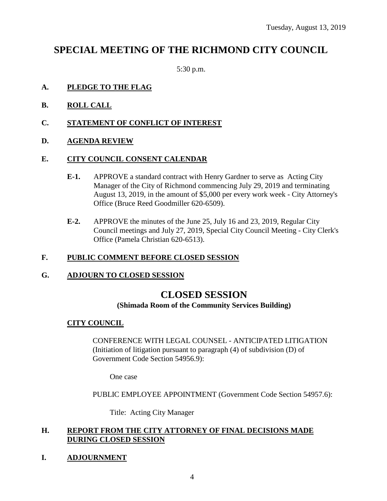## **SPECIAL MEETING OF THE RICHMOND CITY COUNCIL**

5:30 p.m.

### **A. PLEDGE TO THE FLAG**

- **B. ROLL CALL**
- **C. STATEMENT OF CONFLICT OF INTEREST**
- **D. AGENDA REVIEW**

#### **E. CITY COUNCIL CONSENT CALENDAR**

- **E-1.** APPROVE a standard contract with Henry Gardner to serve as Acting City Manager of the City of Richmond commencing July 29, 2019 and terminating August 13, 2019, in the amount of \$5,000 per every work week - City Attorney's Office (Bruce Reed Goodmiller 620-6509).
- **E-2.** APPROVE the minutes of the June 25, July 16 and 23, 2019, Regular City Council meetings and July 27, 2019, Special City Council Meeting - City Clerk's Office (Pamela Christian 620-6513).

#### **F. PUBLIC COMMENT BEFORE CLOSED SESSION**

#### **G. ADJOURN TO CLOSED SESSION**

## **CLOSED SESSION**

#### **(Shimada Room of the Community Services Building)**

#### **CITY COUNCIL**

CONFERENCE WITH LEGAL COUNSEL - ANTICIPATED LITIGATION (Initiation of litigation pursuant to paragraph (4) of subdivision (D) of Government Code Section 54956.9):

One case

PUBLIC EMPLOYEE APPOINTMENT (Government Code Section 54957.6):

Title: Acting City Manager

#### **H. REPORT FROM THE CITY ATTORNEY OF FINAL DECISIONS MADE DURING CLOSED SESSION**

#### **I. ADJOURNMENT**